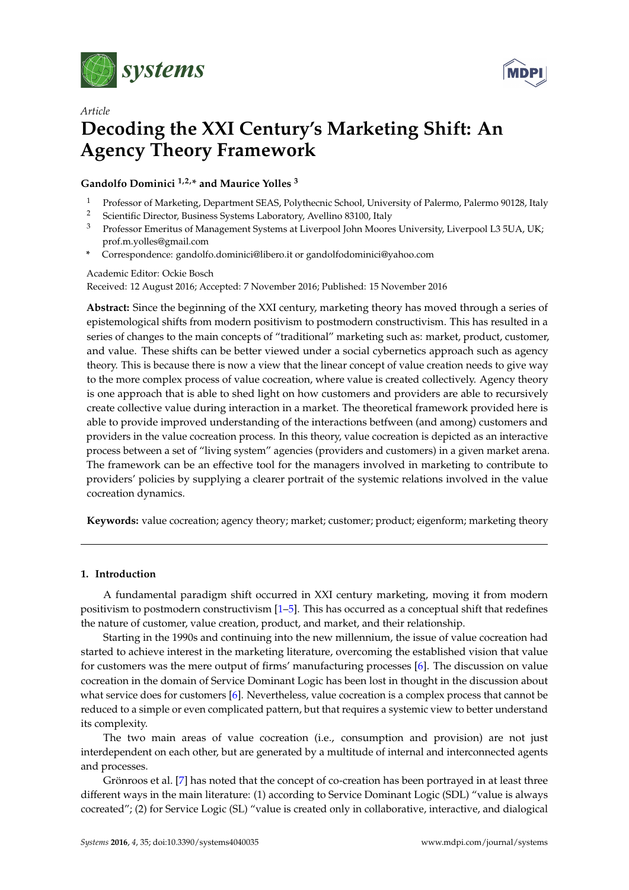

*Article*



# **Decoding the XXI Century's Marketing Shift: An Agency Theory Framework**

# **Gandolfo Dominici 1,2,\* and Maurice Yolles <sup>3</sup>**

- <sup>1</sup> Professor of Marketing, Department SEAS, Polythecnic School, University of Palermo, Palermo 90128, Italy<br><sup>2</sup> Scientific Director, Business Systems Laboratory, Avelline 82100, Italy
- <sup>2</sup> Scientific Director, Business Systems Laboratory, Avellino 83100, Italy<br><sup>3</sup> Professor Emeritus of Managament Systems at Liverpool John Moore
- <sup>3</sup> Professor Emeritus of Management Systems at Liverpool John Moores University, Liverpool L3 5UA, UK; prof.m.yolles@gmail.com
- **\*** Correspondence: gandolfo.dominici@libero.it or gandolfodominici@yahoo.com

Academic Editor: Ockie Bosch

Received: 12 August 2016; Accepted: 7 November 2016; Published: 15 November 2016

**Abstract:** Since the beginning of the XXI century, marketing theory has moved through a series of epistemological shifts from modern positivism to postmodern constructivism. This has resulted in a series of changes to the main concepts of "traditional" marketing such as: market, product, customer, and value. These shifts can be better viewed under a social cybernetics approach such as agency theory. This is because there is now a view that the linear concept of value creation needs to give way to the more complex process of value cocreation, where value is created collectively. Agency theory is one approach that is able to shed light on how customers and providers are able to recursively create collective value during interaction in a market. The theoretical framework provided here is able to provide improved understanding of the interactions betfween (and among) customers and providers in the value cocreation process. In this theory, value cocreation is depicted as an interactive process between a set of "living system" agencies (providers and customers) in a given market arena. The framework can be an effective tool for the managers involved in marketing to contribute to providers' policies by supplying a clearer portrait of the systemic relations involved in the value cocreation dynamics.

**Keywords:** value cocreation; agency theory; market; customer; product; eigenform; marketing theory

# <span id="page-0-0"></span>**1. Introduction**

A fundamental paradigm shift occurred in XXI century marketing, moving it from modern positivism to postmodern constructivism [\[1](#page-9-0)[–5\]](#page-10-0). This has occurred as a conceptual shift that redefines the nature of customer, value creation, product, and market, and their relationship.

Starting in the 1990s and continuing into the new millennium, the issue of value cocreation had started to achieve interest in the marketing literature, overcoming the established vision that value for customers was the mere output of firms' manufacturing processes [\[6\]](#page-10-1). The discussion on value cocreation in the domain of Service Dominant Logic has been lost in thought in the discussion about what service does for customers [\[6\]](#page-10-1). Nevertheless, value cocreation is a complex process that cannot be reduced to a simple or even complicated pattern, but that requires a systemic view to better understand its complexity.

The two main areas of value cocreation (i.e., consumption and provision) are not just interdependent on each other, but are generated by a multitude of internal and interconnected agents and processes.

Grönroos et al. [\[7\]](#page-10-2) has noted that the concept of co-creation has been portrayed in at least three different ways in the main literature: (1) according to Service Dominant Logic (SDL) "value is always cocreated"; (2) for Service Logic (SL) "value is created only in collaborative, interactive, and dialogical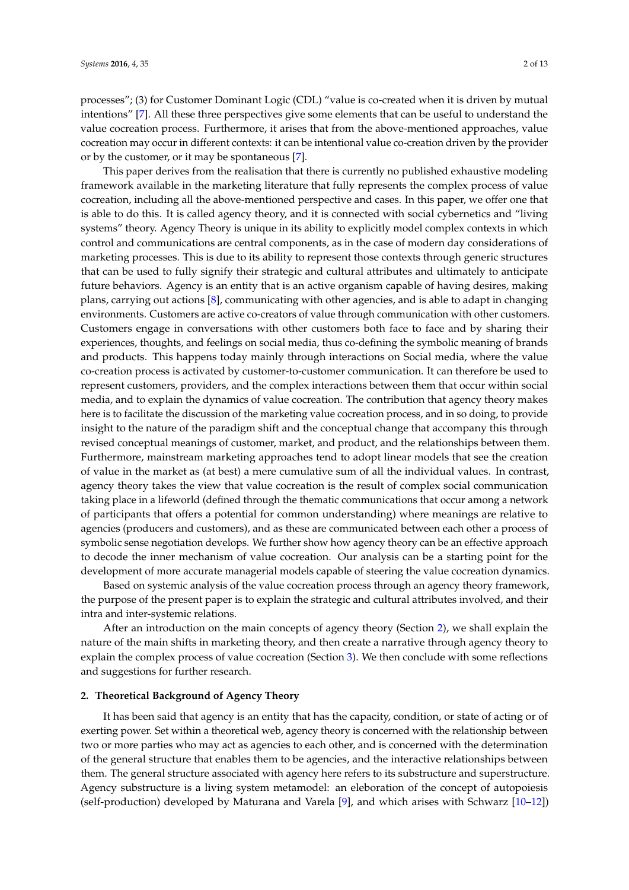processes"; (3) for Customer Dominant Logic (CDL) "value is co-created when it is driven by mutual intentions" [\[7\]](#page-10-2). All these three perspectives give some elements that can be useful to understand the value cocreation process. Furthermore, it arises that from the above-mentioned approaches, value cocreation may occur in different contexts: it can be intentional value co-creation driven by the provider or by the customer, or it may be spontaneous [\[7\]](#page-10-2).

This paper derives from the realisation that there is currently no published exhaustive modeling framework available in the marketing literature that fully represents the complex process of value cocreation, including all the above-mentioned perspective and cases. In this paper, we offer one that is able to do this. It is called agency theory, and it is connected with social cybernetics and "living systems" theory. Agency Theory is unique in its ability to explicitly model complex contexts in which control and communications are central components, as in the case of modern day considerations of marketing processes. This is due to its ability to represent those contexts through generic structures that can be used to fully signify their strategic and cultural attributes and ultimately to anticipate future behaviors. Agency is an entity that is an active organism capable of having desires, making plans, carrying out actions [\[8\]](#page-10-3), communicating with other agencies, and is able to adapt in changing environments. Customers are active co-creators of value through communication with other customers. Customers engage in conversations with other customers both face to face and by sharing their experiences, thoughts, and feelings on social media, thus co-defining the symbolic meaning of brands and products. This happens today mainly through interactions on Social media, where the value co-creation process is activated by customer-to-customer communication. It can therefore be used to represent customers, providers, and the complex interactions between them that occur within social media, and to explain the dynamics of value cocreation. The contribution that agency theory makes here is to facilitate the discussion of the marketing value cocreation process, and in so doing, to provide insight to the nature of the paradigm shift and the conceptual change that accompany this through revised conceptual meanings of customer, market, and product, and the relationships between them. Furthermore, mainstream marketing approaches tend to adopt linear models that see the creation of value in the market as (at best) a mere cumulative sum of all the individual values. In contrast, agency theory takes the view that value cocreation is the result of complex social communication taking place in a lifeworld (defined through the thematic communications that occur among a network of participants that offers a potential for common understanding) where meanings are relative to agencies (producers and customers), and as these are communicated between each other a process of symbolic sense negotiation develops. We further show how agency theory can be an effective approach to decode the inner mechanism of value cocreation. Our analysis can be a starting point for the development of more accurate managerial models capable of steering the value cocreation dynamics.

Based on systemic analysis of the value cocreation process through an agency theory framework, the purpose of the present paper is to explain the strategic and cultural attributes involved, and their intra and inter-systemic relations.

After an introduction on the main concepts of agency theory (Section [2\)](#page-1-0), we shall explain the nature of the main shifts in marketing theory, and then create a narrative through agency theory to explain the complex process of value cocreation (Section [3\)](#page-3-0). We then conclude with some reflections and suggestions for further research.

#### <span id="page-1-0"></span>**2. Theoretical Background of Agency Theory**

It has been said that agency is an entity that has the capacity, condition, or state of acting or of exerting power. Set within a theoretical web, agency theory is concerned with the relationship between two or more parties who may act as agencies to each other, and is concerned with the determination of the general structure that enables them to be agencies, and the interactive relationships between them. The general structure associated with agency here refers to its substructure and superstructure. Agency substructure is a living system metamodel: an eleboration of the concept of autopoiesis (self-production) developed by Maturana and Varela [\[9\]](#page-10-4), and which arises with Schwarz [\[10–](#page-10-5)[12\]](#page-10-6))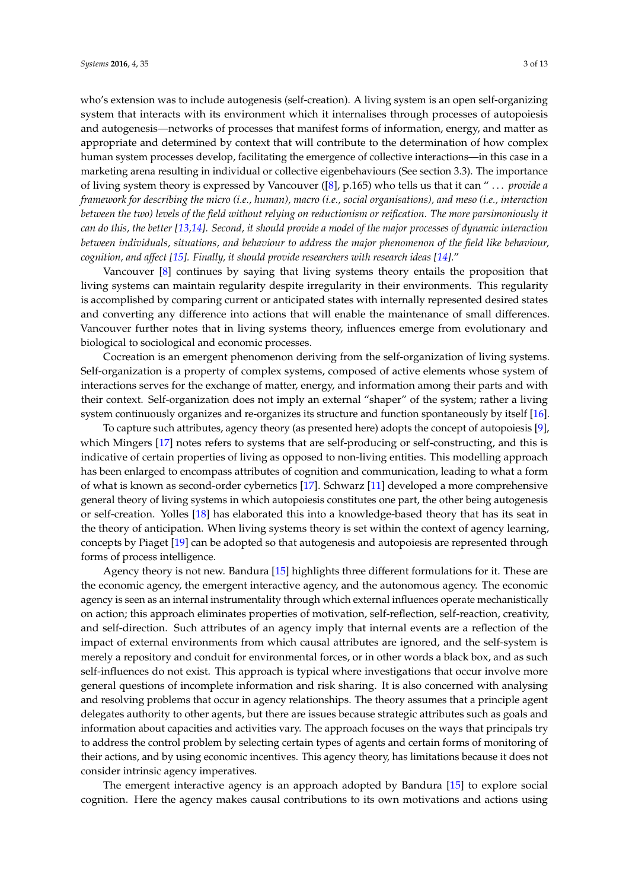who's extension was to include autogenesis (self-creation). A living system is an open self-organizing system that interacts with its environment which it internalises through processes of autopoiesis and autogenesis—networks of processes that manifest forms of information, energy, and matter as appropriate and determined by context that will contribute to the determination of how complex human system processes develop, facilitating the emergence of collective interactions—in this case in a marketing arena resulting in individual or collective eigenbehaviours (See section 3.3). The importance of living system theory is expressed by Vancouver ([\[8\]](#page-10-3), p.165) who tells us that it can " . . . *provide a framework for describing the micro (i.e., human), macro (i.e., social organisations), and meso (i.e., interaction between the two) levels of the field without relying on reductionism or reification. The more parsimoniously it can do this, the better [\[13](#page-10-7)[,14\]](#page-10-8). Second, it should provide a model of the major processes of dynamic interaction between individuals, situations, and behaviour to address the major phenomenon of the field like behaviour, cognition, and affect [\[15\]](#page-10-9). Finally, it should provide researchers with research ideas [\[14\]](#page-10-8)*."

Vancouver [\[8\]](#page-10-3) continues by saying that living systems theory entails the proposition that living systems can maintain regularity despite irregularity in their environments. This regularity is accomplished by comparing current or anticipated states with internally represented desired states and converting any difference into actions that will enable the maintenance of small differences. Vancouver further notes that in living systems theory, influences emerge from evolutionary and biological to sociological and economic processes.

Cocreation is an emergent phenomenon deriving from the self-organization of living systems. Self-organization is a property of complex systems, composed of active elements whose system of interactions serves for the exchange of matter, energy, and information among their parts and with their context. Self-organization does not imply an external "shaper" of the system; rather a living system continuously organizes and re-organizes its structure and function spontaneously by itself [\[16\]](#page-10-10).

To capture such attributes, agency theory (as presented here) adopts the concept of autopoiesis [\[9\]](#page-10-4), which Mingers [\[17\]](#page-10-11) notes refers to systems that are self-producing or self-constructing, and this is indicative of certain properties of living as opposed to non-living entities. This modelling approach has been enlarged to encompass attributes of cognition and communication, leading to what a form of what is known as second-order cybernetics [\[17\]](#page-10-11). Schwarz [\[11\]](#page-10-12) developed a more comprehensive general theory of living systems in which autopoiesis constitutes one part, the other being autogenesis or self-creation. Yolles [\[18\]](#page-10-13) has elaborated this into a knowledge-based theory that has its seat in the theory of anticipation. When living systems theory is set within the context of agency learning, concepts by Piaget [\[19\]](#page-10-14) can be adopted so that autogenesis and autopoiesis are represented through forms of process intelligence.

Agency theory is not new. Bandura [\[15\]](#page-10-9) highlights three different formulations for it. These are the economic agency, the emergent interactive agency, and the autonomous agency. The economic agency is seen as an internal instrumentality through which external influences operate mechanistically on action; this approach eliminates properties of motivation, self-reflection, self-reaction, creativity, and self-direction. Such attributes of an agency imply that internal events are a reflection of the impact of external environments from which causal attributes are ignored, and the self-system is merely a repository and conduit for environmental forces, or in other words a black box, and as such self-influences do not exist. This approach is typical where investigations that occur involve more general questions of incomplete information and risk sharing. It is also concerned with analysing and resolving problems that occur in agency relationships. The theory assumes that a principle agent delegates authority to other agents, but there are issues because strategic attributes such as goals and information about capacities and activities vary. The approach focuses on the ways that principals try to address the control problem by selecting certain types of agents and certain forms of monitoring of their actions, and by using economic incentives. This agency theory, has limitations because it does not consider intrinsic agency imperatives.

The emergent interactive agency is an approach adopted by Bandura [\[15\]](#page-10-9) to explore social cognition. Here the agency makes causal contributions to its own motivations and actions using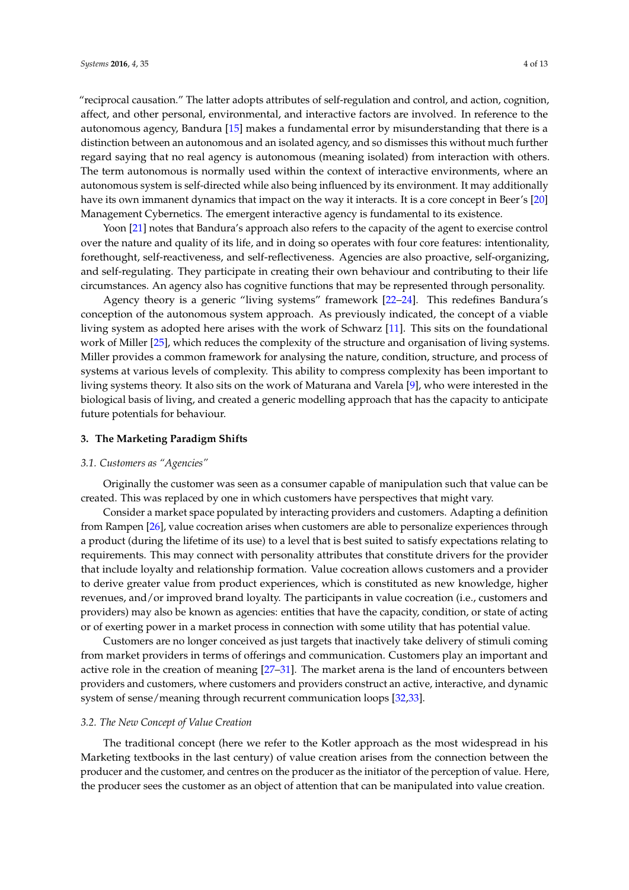"reciprocal causation." The latter adopts attributes of self-regulation and control, and action, cognition, affect, and other personal, environmental, and interactive factors are involved. In reference to the autonomous agency, Bandura [\[15\]](#page-10-9) makes a fundamental error by misunderstanding that there is a distinction between an autonomous and an isolated agency, and so dismisses this without much further regard saying that no real agency is autonomous (meaning isolated) from interaction with others. The term autonomous is normally used within the context of interactive environments, where an autonomous system is self-directed while also being influenced by its environment. It may additionally have its own immanent dynamics that impact on the way it interacts. It is a core concept in Beer's [\[20\]](#page-10-15) Management Cybernetics. The emergent interactive agency is fundamental to its existence.

Yoon [\[21\]](#page-10-16) notes that Bandura's approach also refers to the capacity of the agent to exercise control over the nature and quality of its life, and in doing so operates with four core features: intentionality, forethought, self-reactiveness, and self-reflectiveness. Agencies are also proactive, self-organizing, and self-regulating. They participate in creating their own behaviour and contributing to their life circumstances. An agency also has cognitive functions that may be represented through personality.

Agency theory is a generic "living systems" framework [\[22](#page-10-17)[–24\]](#page-10-18). This redefines Bandura's conception of the autonomous system approach. As previously indicated, the concept of a viable living system as adopted here arises with the work of Schwarz [\[11\]](#page-10-12). This sits on the foundational work of Miller [\[25\]](#page-10-19), which reduces the complexity of the structure and organisation of living systems. Miller provides a common framework for analysing the nature, condition, structure, and process of systems at various levels of complexity. This ability to compress complexity has been important to living systems theory. It also sits on the work of Maturana and Varela [\[9\]](#page-10-4), who were interested in the biological basis of living, and created a generic modelling approach that has the capacity to anticipate future potentials for behaviour.

## <span id="page-3-0"></span>**3. The Marketing Paradigm Shifts**

#### <span id="page-3-2"></span>*3.1. Customers as "Agencies"*

Originally the customer was seen as a consumer capable of manipulation such that value can be created. This was replaced by one in which customers have perspectives that might vary.

Consider a market space populated by interacting providers and customers. Adapting a definition from Rampen [\[26\]](#page-10-20), value cocreation arises when customers are able to personalize experiences through a product (during the lifetime of its use) to a level that is best suited to satisfy expectations relating to requirements. This may connect with personality attributes that constitute drivers for the provider that include loyalty and relationship formation. Value cocreation allows customers and a provider to derive greater value from product experiences, which is constituted as new knowledge, higher revenues, and/or improved brand loyalty. The participants in value cocreation (i.e., customers and providers) may also be known as agencies: entities that have the capacity, condition, or state of acting or of exerting power in a market process in connection with some utility that has potential value.

Customers are no longer conceived as just targets that inactively take delivery of stimuli coming from market providers in terms of offerings and communication. Customers play an important and active role in the creation of meaning [\[27](#page-10-21)[–31\]](#page-10-22). The market arena is the land of encounters between providers and customers, where customers and providers construct an active, interactive, and dynamic system of sense/meaning through recurrent communication loops [\[32,](#page-11-0)[33\]](#page-11-1).

## <span id="page-3-1"></span>*3.2. The New Concept of Value Creation*

The traditional concept (here we refer to the Kotler approach as the most widespread in his Marketing textbooks in the last century) of value creation arises from the connection between the producer and the customer, and centres on the producer as the initiator of the perception of value. Here, the producer sees the customer as an object of attention that can be manipulated into value creation.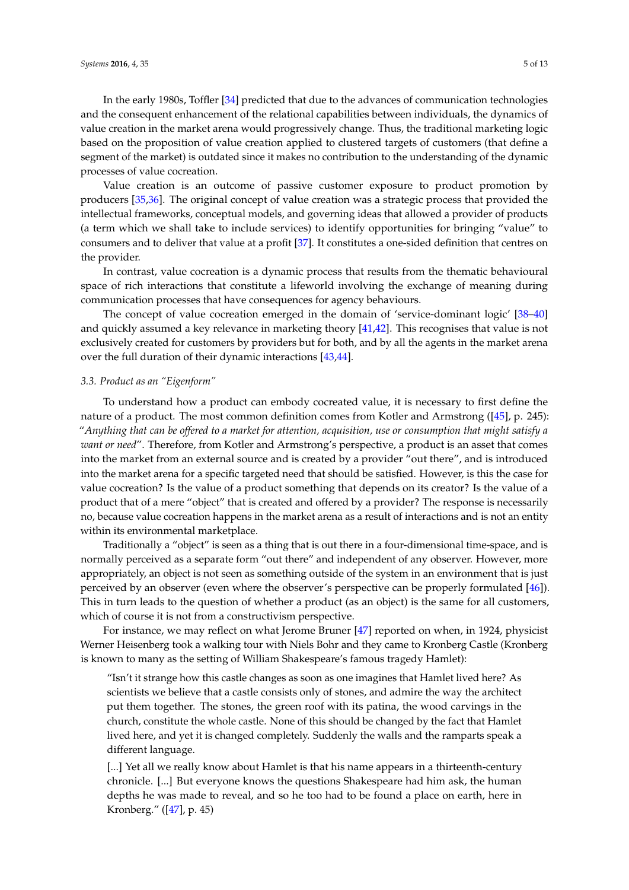In the early 1980s, Toffler [\[34\]](#page-11-2) predicted that due to the advances of communication technologies and the consequent enhancement of the relational capabilities between individuals, the dynamics of value creation in the market arena would progressively change. Thus, the traditional marketing logic based on the proposition of value creation applied to clustered targets of customers (that define a segment of the market) is outdated since it makes no contribution to the understanding of the dynamic processes of value cocreation.

Value creation is an outcome of passive customer exposure to product promotion by producers [\[35](#page-11-3)[,36\]](#page-11-4). The original concept of value creation was a strategic process that provided the intellectual frameworks, conceptual models, and governing ideas that allowed a provider of products (a term which we shall take to include services) to identify opportunities for bringing "value" to consumers and to deliver that value at a profit [\[37\]](#page-11-5). It constitutes a one-sided definition that centres on the provider.

In contrast, value cocreation is a dynamic process that results from the thematic behavioural space of rich interactions that constitute a lifeworld involving the exchange of meaning during communication processes that have consequences for agency behaviours.

The concept of value cocreation emerged in the domain of 'service-dominant logic' [\[38](#page-11-6)[–40\]](#page-11-7) and quickly assumed a key relevance in marketing theory [\[41](#page-11-8)[,42\]](#page-11-9). This recognises that value is not exclusively created for customers by providers but for both, and by all the agents in the market arena over the full duration of their dynamic interactions [\[43](#page-11-10)[,44\]](#page-11-11).

#### <span id="page-4-0"></span>*3.3. Product as an "Eigenform"*

To understand how a product can embody cocreated value, it is necessary to first define the nature of a product. The most common definition comes from Kotler and Armstrong ([\[45\]](#page-11-12), p. 245): "*Anything that can be offered to a market for attention, acquisition, use or consumption that might satisfy a want or need*". Therefore, from Kotler and Armstrong's perspective, a product is an asset that comes into the market from an external source and is created by a provider "out there", and is introduced into the market arena for a specific targeted need that should be satisfied. However, is this the case for value cocreation? Is the value of a product something that depends on its creator? Is the value of a product that of a mere "object" that is created and offered by a provider? The response is necessarily no, because value cocreation happens in the market arena as a result of interactions and is not an entity within its environmental marketplace.

Traditionally a "object" is seen as a thing that is out there in a four-dimensional time-space, and is normally perceived as a separate form "out there" and independent of any observer. However, more appropriately, an object is not seen as something outside of the system in an environment that is just perceived by an observer (even where the observer's perspective can be properly formulated [\[46\]](#page-11-13)). This in turn leads to the question of whether a product (as an object) is the same for all customers, which of course it is not from a constructivism perspective.

For instance, we may reflect on what Jerome Bruner [\[47\]](#page-11-14) reported on when, in 1924, physicist Werner Heisenberg took a walking tour with Niels Bohr and they came to Kronberg Castle (Kronberg is known to many as the setting of William Shakespeare's famous tragedy Hamlet):

"Isn't it strange how this castle changes as soon as one imagines that Hamlet lived here? As scientists we believe that a castle consists only of stones, and admire the way the architect put them together. The stones, the green roof with its patina, the wood carvings in the church, constitute the whole castle. None of this should be changed by the fact that Hamlet lived here, and yet it is changed completely. Suddenly the walls and the ramparts speak a different language.

[...] Yet all we really know about Hamlet is that his name appears in a thirteenth-century chronicle. [...] But everyone knows the questions Shakespeare had him ask, the human depths he was made to reveal, and so he too had to be found a place on earth, here in Kronberg." ([\[47\]](#page-11-14), p. 45)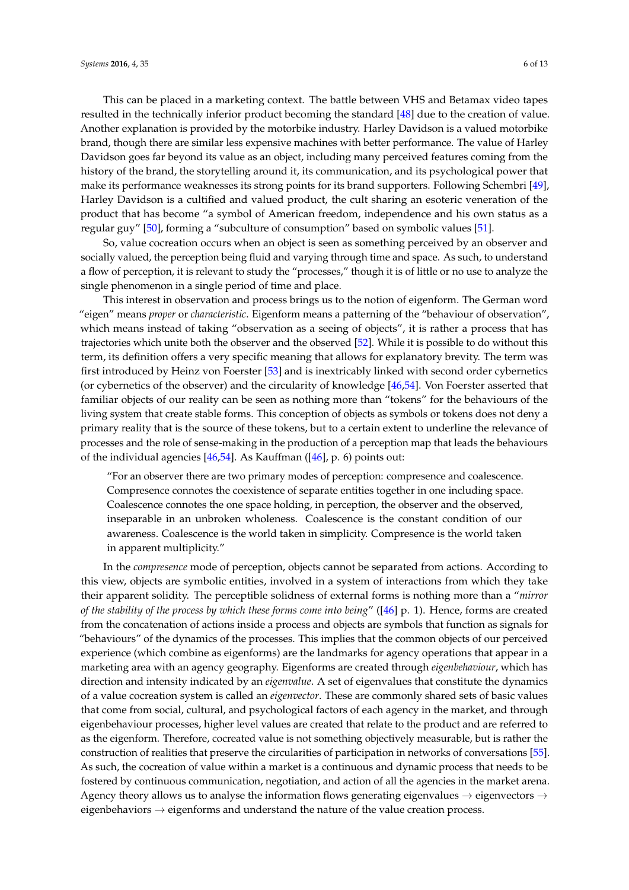This can be placed in a marketing context. The battle between VHS and Betamax video tapes resulted in the technically inferior product becoming the standard [\[48\]](#page-11-15) due to the creation of value. Another explanation is provided by the motorbike industry. Harley Davidson is a valued motorbike brand, though there are similar less expensive machines with better performance. The value of Harley Davidson goes far beyond its value as an object, including many perceived features coming from the history of the brand, the storytelling around it, its communication, and its psychological power that make its performance weaknesses its strong points for its brand supporters. Following Schembri [\[49\]](#page-11-16), Harley Davidson is a cultified and valued product, the cult sharing an esoteric veneration of the product that has become "a symbol of American freedom, independence and his own status as a regular guy" [\[50\]](#page-11-17), forming a "subculture of consumption" based on symbolic values [\[51\]](#page-11-18).

So, value cocreation occurs when an object is seen as something perceived by an observer and socially valued, the perception being fluid and varying through time and space. As such, to understand a flow of perception, it is relevant to study the "processes," though it is of little or no use to analyze the single phenomenon in a single period of time and place.

This interest in observation and process brings us to the notion of eigenform. The German word "eigen" means *proper* or *characteristic*. Eigenform means a patterning of the "behaviour of observation", which means instead of taking "observation as a seeing of objects", it is rather a process that has trajectories which unite both the observer and the observed [\[52\]](#page-11-19). While it is possible to do without this term, its definition offers a very specific meaning that allows for explanatory brevity. The term was first introduced by Heinz von Foerster [\[53\]](#page-11-20) and is inextricably linked with second order cybernetics (or cybernetics of the observer) and the circularity of knowledge [\[46](#page-11-13)[,54\]](#page-11-21). Von Foerster asserted that familiar objects of our reality can be seen as nothing more than "tokens" for the behaviours of the living system that create stable forms. This conception of objects as symbols or tokens does not deny a primary reality that is the source of these tokens, but to a certain extent to underline the relevance of processes and the role of sense-making in the production of a perception map that leads the behaviours of the individual agencies [\[46](#page-11-13)[,54\]](#page-11-21). As Kauffman ([\[46\]](#page-11-13), p. 6) points out:

"For an observer there are two primary modes of perception: compresence and coalescence. Compresence connotes the coexistence of separate entities together in one including space. Coalescence connotes the one space holding, in perception, the observer and the observed, inseparable in an unbroken wholeness. Coalescence is the constant condition of our awareness. Coalescence is the world taken in simplicity. Compresence is the world taken in apparent multiplicity."

In the *compresence* mode of perception, objects cannot be separated from actions. According to this view, objects are symbolic entities, involved in a system of interactions from which they take their apparent solidity. The perceptible solidness of external forms is nothing more than a "*mirror of the stability of the process by which these forms come into being*" ([\[46\]](#page-11-13) p. 1). Hence, forms are created from the concatenation of actions inside a process and objects are symbols that function as signals for "behaviours" of the dynamics of the processes. This implies that the common objects of our perceived experience (which combine as eigenforms) are the landmarks for agency operations that appear in a marketing area with an agency geography. Eigenforms are created through *eigenbehaviour*, which has direction and intensity indicated by an *eigenvalue*. A set of eigenvalues that constitute the dynamics of a value cocreation system is called an *eigenvector*. These are commonly shared sets of basic values that come from social, cultural, and psychological factors of each agency in the market, and through eigenbehaviour processes, higher level values are created that relate to the product and are referred to as the eigenform. Therefore, cocreated value is not something objectively measurable, but is rather the construction of realities that preserve the circularities of participation in networks of conversations [\[55\]](#page-11-22). As such, the cocreation of value within a market is a continuous and dynamic process that needs to be fostered by continuous communication, negotiation, and action of all the agencies in the market arena. Agency theory allows us to analyse the information flows generating eigenvalues  $\rightarrow$  eigenvectors  $\rightarrow$ eigenbehaviors  $\rightarrow$  eigenforms and understand the nature of the value creation process.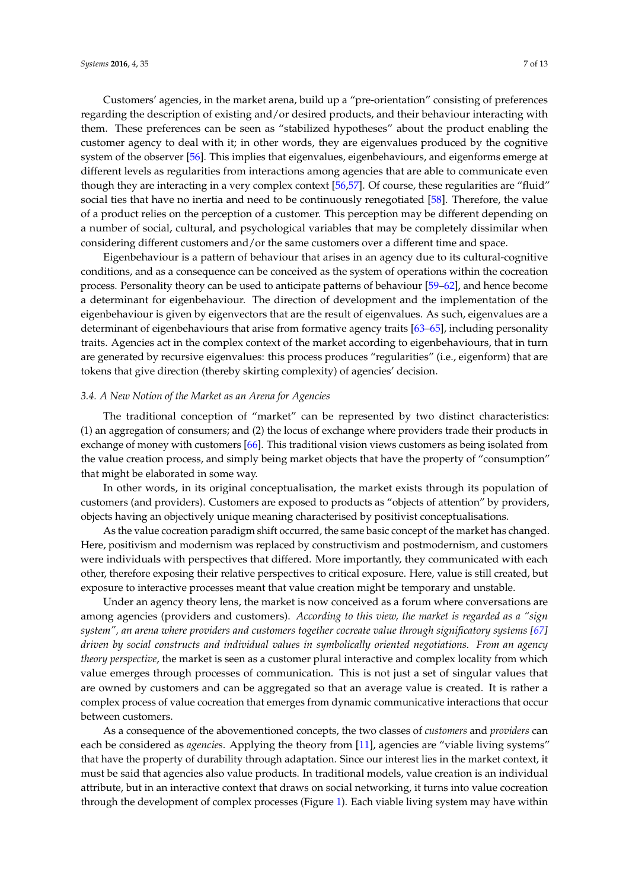Customers' agencies, in the market arena, build up a "pre-orientation" consisting of preferences regarding the description of existing and/or desired products, and their behaviour interacting with them. These preferences can be seen as "stabilized hypotheses" about the product enabling the customer agency to deal with it; in other words, they are eigenvalues produced by the cognitive system of the observer [\[56\]](#page-11-23). This implies that eigenvalues, eigenbehaviours, and eigenforms emerge at different levels as regularities from interactions among agencies that are able to communicate even though they are interacting in a very complex context [\[56](#page-11-23)[,57\]](#page-11-24). Of course, these regularities are "fluid" social ties that have no inertia and need to be continuously renegotiated [\[58\]](#page-11-25). Therefore, the value of a product relies on the perception of a customer. This perception may be different depending on a number of social, cultural, and psychological variables that may be completely dissimilar when considering different customers and/or the same customers over a different time and space.

Eigenbehaviour is a pattern of behaviour that arises in an agency due to its cultural-cognitive conditions, and as a consequence can be conceived as the system of operations within the cocreation process. Personality theory can be used to anticipate patterns of behaviour [\[59](#page-11-26)[–62\]](#page-12-0), and hence become a determinant for eigenbehaviour. The direction of development and the implementation of the eigenbehaviour is given by eigenvectors that are the result of eigenvalues. As such, eigenvalues are a determinant of eigenbehaviours that arise from formative agency traits [\[63](#page-12-1)[–65\]](#page-12-2), including personality traits. Agencies act in the complex context of the market according to eigenbehaviours, that in turn are generated by recursive eigenvalues: this process produces "regularities" (i.e., eigenform) that are tokens that give direction (thereby skirting complexity) of agencies' decision.

#### <span id="page-6-0"></span>*3.4. A New Notion of the Market as an Arena for Agencies*

The traditional conception of "market" can be represented by two distinct characteristics: (1) an aggregation of consumers; and (2) the locus of exchange where providers trade their products in exchange of money with customers [\[66\]](#page-12-3). This traditional vision views customers as being isolated from the value creation process, and simply being market objects that have the property of "consumption" that might be elaborated in some way.

In other words, in its original conceptualisation, the market exists through its population of customers (and providers). Customers are exposed to products as "objects of attention" by providers, objects having an objectively unique meaning characterised by positivist conceptualisations.

As the value cocreation paradigm shift occurred, the same basic concept of the market has changed. Here, positivism and modernism was replaced by constructivism and postmodernism, and customers were individuals with perspectives that differed. More importantly, they communicated with each other, therefore exposing their relative perspectives to critical exposure. Here, value is still created, but exposure to interactive processes meant that value creation might be temporary and unstable.

Under an agency theory lens, the market is now conceived as a forum where conversations are among agencies (providers and customers). *According to this view, the market is regarded as a "sign system", an arena where providers and customers together cocreate value through significatory systems [\[67\]](#page-12-4) driven by social constructs and individual values in symbolically oriented negotiations. From an agency theory perspective*, the market is seen as a customer plural interactive and complex locality from which value emerges through processes of communication. This is not just a set of singular values that are owned by customers and can be aggregated so that an average value is created. It is rather a complex process of value cocreation that emerges from dynamic communicative interactions that occur between customers.

As a consequence of the abovementioned concepts, the two classes of *customers* and *providers* can each be considered as *agencies*. Applying the theory from [\[11\]](#page-10-12), agencies are "viable living systems" that have the property of durability through adaptation. Since our interest lies in the market context, it must be said that agencies also value products. In traditional models, value creation is an individual attribute, but in an interactive context that draws on social networking, it turns into value cocreation through the development of complex processes (Figure [1\)](#page-7-0). Each viable living system may have within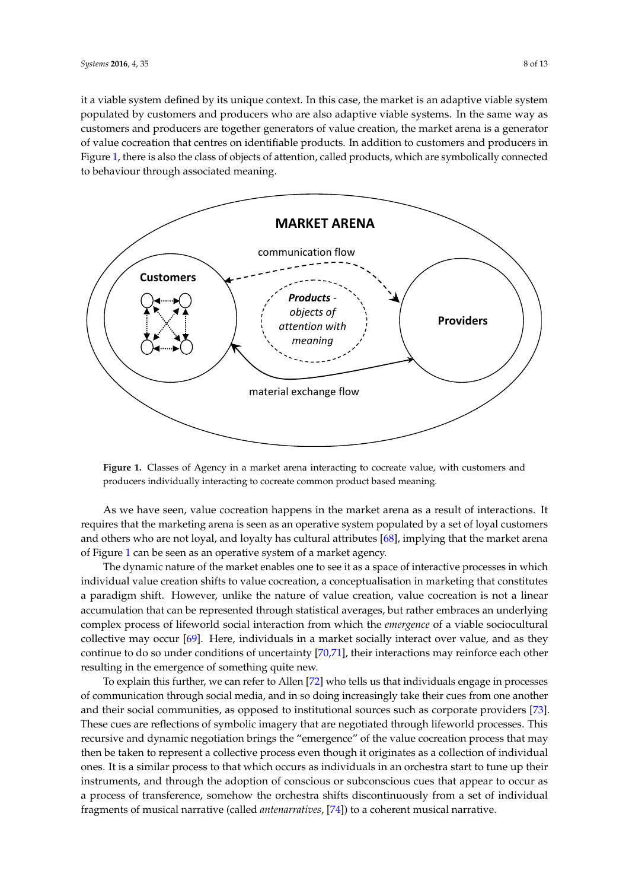it a viable system defined by its unique context. In this case, the market is an adaptive viable system it a viable system defined by its unique context. In this case, the market is an adaptive viable system populated by customers and producers who are also adaptive viable systems. In the same way as populated by customers and producers who are also adaptive viable systems. In the same way as customers and producers are together generators of value creation, the market arena is a generator customers and producers are together generators of value creation, the market arena is a generator of value cocreation that centres on identifiable products. In addition to customers and producers in Figure [1,](#page-7-0) there is also the class of objects of attention, called products, which are symbolically connected to behaviour through associated meaning.

<span id="page-7-0"></span>

**Figure 1.** Classes of Agency in a market arena interacting to cocreate value, with customers and **Figure 1.** Classes of Agency in a market arena interacting to cocreate value, with customers and producers individually interacting to cocreate common product based meaning. producers individually interacting to cocreate common product based meaning.

As we have seen, value cocreation happens in the market arena as a result of interactions. It As we have seen, value cocreation happens in the market arena as a result of interactions. It requires that the marketing arena is seen as an operative system populated by a set of loyal customers requires and others who are not loyal, and loyalty has cultural attributes  $[68]$ , implying that the market arena of Figure [1](#page-7-0) can be seen as an operative system of a market agency.<br>
The contractive processes in the contractive processes in the contractive processes in the contractive proces

The dynamic nature of the market enables one to see it as a space of interactive processes in which individual value creation shifts to value cocreation, a conceptualisation in marketing that constitutes a paradigm shift. However, unlike the nature of value creation, value cocreation is not a linear accumulation that can be represented through statistical averages, but rather embraces an underlying accumulation complex process of lifeworld social interaction from which the *emergence* of a viable sociocultural collective may occur [\[69\]](#page-12-6). Here, individuals in a market socially interact over value, and as they continue to do so under conditions of uncertainty [\[70,](#page-12-7)[71\]](#page-12-8), their interactions may reinforce each other resulting in the emergence of something quite new.<br>The engage in the emergence of something quite new.

To explain this further, we can refer to Allen [\[72\]](#page-12-9) who tells us that individuals engage in processes of communication through social media, and in so doing increasingly take their cues from one another and their social communities, as opposed to institutional sources such as corporate providers [\[73\]](#page-12-10). These cues are reflections of symbolic imagery that are negotiated through lifeworld processes. This recursive and dynamic negotiation brings the "emergence" of the value cocreation process that may then be taken to represent a collective process even though it originates as a collection of individual ones. It is a similar process to that which occurs as individuals in an orchestra start to tune up their instruments, and through the adoption of conscious or subconscious cues that appear to occur as a process of transference, somehow the orchestra shifts discontinuously from a set of individual fragments of musical narrative (called *antenarratives*, [\[74\]](#page-12-11)) to a coherent musical narrative.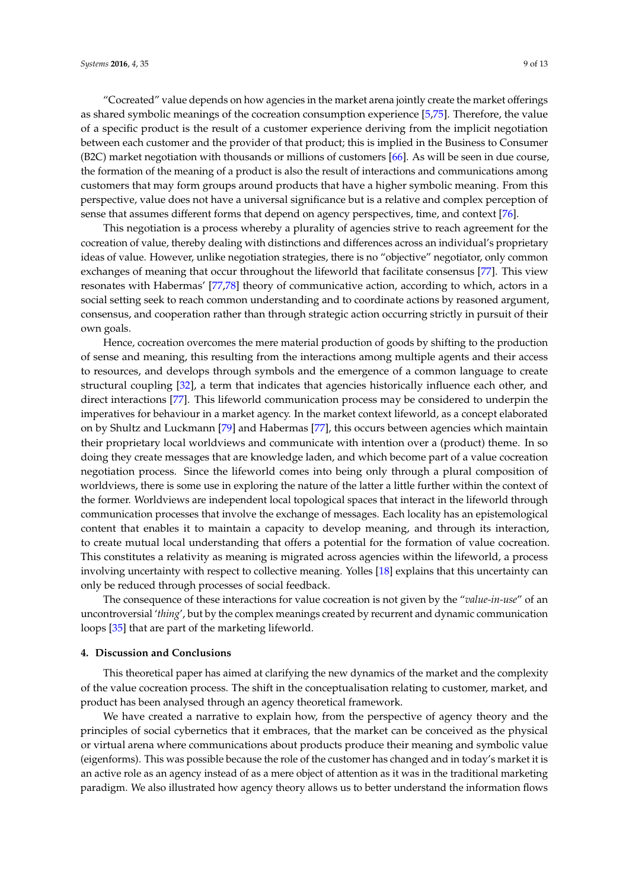"Cocreated" value depends on how agencies in the market arena jointly create the market offerings as shared symbolic meanings of the cocreation consumption experience [\[5,](#page-10-0)[75\]](#page-12-12). Therefore, the value of a specific product is the result of a customer experience deriving from the implicit negotiation between each customer and the provider of that product; this is implied in the Business to Consumer (B2C) market negotiation with thousands or millions of customers [\[66\]](#page-12-3). As will be seen in due course, the formation of the meaning of a product is also the result of interactions and communications among customers that may form groups around products that have a higher symbolic meaning. From this perspective, value does not have a universal significance but is a relative and complex perception of sense that assumes different forms that depend on agency perspectives, time, and context [\[76\]](#page-12-13).

This negotiation is a process whereby a plurality of agencies strive to reach agreement for the cocreation of value, thereby dealing with distinctions and differences across an individual's proprietary ideas of value. However, unlike negotiation strategies, there is no "objective" negotiator, only common exchanges of meaning that occur throughout the lifeworld that facilitate consensus [\[77\]](#page-12-14). This view resonates with Habermas' [\[77](#page-12-14)[,78\]](#page-12-15) theory of communicative action, according to which, actors in a social setting seek to reach common understanding and to coordinate actions by reasoned argument, consensus, and cooperation rather than through strategic action occurring strictly in pursuit of their own goals.

Hence, cocreation overcomes the mere material production of goods by shifting to the production of sense and meaning, this resulting from the interactions among multiple agents and their access to resources, and develops through symbols and the emergence of a common language to create structural coupling [\[32\]](#page-11-0), a term that indicates that agencies historically influence each other, and direct interactions [\[77\]](#page-12-14). This lifeworld communication process may be considered to underpin the imperatives for behaviour in a market agency. In the market context lifeworld, as a concept elaborated on by Shultz and Luckmann [\[79\]](#page-12-16) and Habermas [\[77\]](#page-12-14), this occurs between agencies which maintain their proprietary local worldviews and communicate with intention over a (product) theme. In so doing they create messages that are knowledge laden, and which become part of a value cocreation negotiation process. Since the lifeworld comes into being only through a plural composition of worldviews, there is some use in exploring the nature of the latter a little further within the context of the former. Worldviews are independent local topological spaces that interact in the lifeworld through communication processes that involve the exchange of messages. Each locality has an epistemological content that enables it to maintain a capacity to develop meaning, and through its interaction, to create mutual local understanding that offers a potential for the formation of value cocreation. This constitutes a relativity as meaning is migrated across agencies within the lifeworld, a process involving uncertainty with respect to collective meaning. Yolles [\[18\]](#page-10-13) explains that this uncertainty can only be reduced through processes of social feedback.

The consequence of these interactions for value cocreation is not given by the "*value-in-use*" of an uncontroversial '*thing*', but by the complex meanings created by recurrent and dynamic communication loops [\[35\]](#page-11-3) that are part of the marketing lifeworld.

#### <span id="page-8-0"></span>**4. Discussion and Conclusions**

This theoretical paper has aimed at clarifying the new dynamics of the market and the complexity of the value cocreation process. The shift in the conceptualisation relating to customer, market, and product has been analysed through an agency theoretical framework.

We have created a narrative to explain how, from the perspective of agency theory and the principles of social cybernetics that it embraces, that the market can be conceived as the physical or virtual arena where communications about products produce their meaning and symbolic value (eigenforms). This was possible because the role of the customer has changed and in today's market it is an active role as an agency instead of as a mere object of attention as it was in the traditional marketing paradigm. We also illustrated how agency theory allows us to better understand the information flows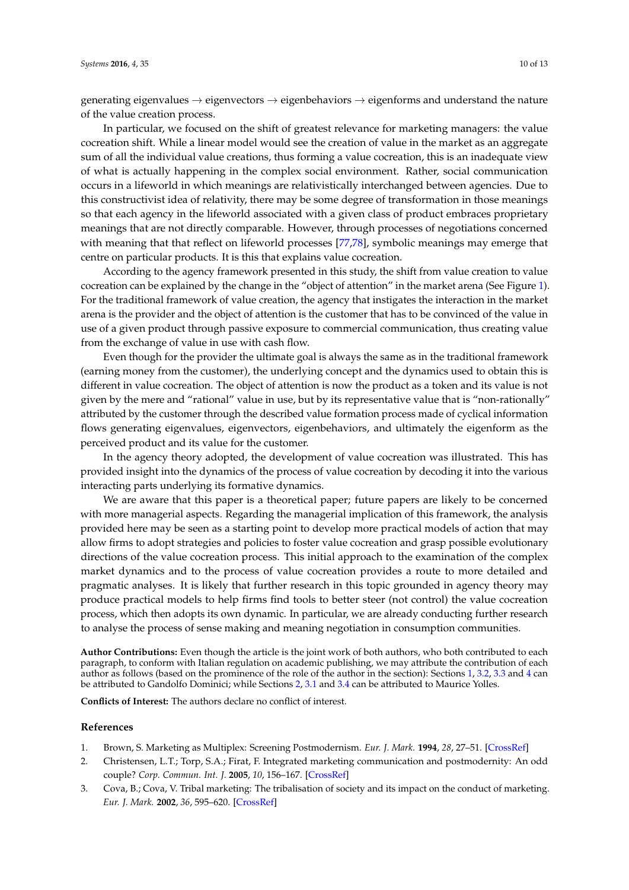generating eigenvalues  $\rightarrow$  eigenvectors  $\rightarrow$  eigenbehaviors  $\rightarrow$  eigenforms and understand the nature of the value creation process.

In particular, we focused on the shift of greatest relevance for marketing managers: the value cocreation shift. While a linear model would see the creation of value in the market as an aggregate sum of all the individual value creations, thus forming a value cocreation, this is an inadequate view of what is actually happening in the complex social environment. Rather, social communication occurs in a lifeworld in which meanings are relativistically interchanged between agencies. Due to this constructivist idea of relativity, there may be some degree of transformation in those meanings so that each agency in the lifeworld associated with a given class of product embraces proprietary meanings that are not directly comparable. However, through processes of negotiations concerned with meaning that that reflect on lifeworld processes [\[77,](#page-12-14)[78\]](#page-12-15), symbolic meanings may emerge that centre on particular products. It is this that explains value cocreation.

According to the agency framework presented in this study, the shift from value creation to value cocreation can be explained by the change in the "object of attention" in the market arena (See Figure [1\)](#page-7-0). For the traditional framework of value creation, the agency that instigates the interaction in the market arena is the provider and the object of attention is the customer that has to be convinced of the value in use of a given product through passive exposure to commercial communication, thus creating value from the exchange of value in use with cash flow.

Even though for the provider the ultimate goal is always the same as in the traditional framework (earning money from the customer), the underlying concept and the dynamics used to obtain this is different in value cocreation. The object of attention is now the product as a token and its value is not given by the mere and "rational" value in use, but by its representative value that is "non-rationally" attributed by the customer through the described value formation process made of cyclical information flows generating eigenvalues, eigenvectors, eigenbehaviors, and ultimately the eigenform as the perceived product and its value for the customer.

In the agency theory adopted, the development of value cocreation was illustrated. This has provided insight into the dynamics of the process of value cocreation by decoding it into the various interacting parts underlying its formative dynamics.

We are aware that this paper is a theoretical paper; future papers are likely to be concerned with more managerial aspects. Regarding the managerial implication of this framework, the analysis provided here may be seen as a starting point to develop more practical models of action that may allow firms to adopt strategies and policies to foster value cocreation and grasp possible evolutionary directions of the value cocreation process. This initial approach to the examination of the complex market dynamics and to the process of value cocreation provides a route to more detailed and pragmatic analyses. It is likely that further research in this topic grounded in agency theory may produce practical models to help firms find tools to better steer (not control) the value cocreation process, which then adopts its own dynamic. In particular, we are already conducting further research to analyse the process of sense making and meaning negotiation in consumption communities.

**Author Contributions:** Even though the article is the joint work of both authors, who both contributed to each paragraph, to conform with Italian regulation on academic publishing, we may attribute the contribution of each author as follows (based on the prominence of the role of the author in the section): Sections [1,](#page-0-0) [3.2,](#page-3-1) [3.3](#page-4-0) and [4](#page-8-0) can be attributed to Gandolfo Dominici; while Sections [2,](#page-1-0) [3.1](#page-3-2) and [3.4](#page-6-0) can be attributed to Maurice Yolles.

**Conflicts of Interest:** The authors declare no conflict of interest.

## **References**

- <span id="page-9-0"></span>1. Brown, S. Marketing as Multiplex: Screening Postmodernism. *Eur. J. Mark.* **1994**, *28*, 27–51. [\[CrossRef\]](http://dx.doi.org/10.1108/03090569410067631)
- 2. Christensen, L.T.; Torp, S.A.; Firat, F. Integrated marketing communication and postmodernity: An odd couple? *Corp. Commun. Int. J.* **2005**, *10*, 156–167. [\[CrossRef\]](http://dx.doi.org/10.1108/13563280510596961)
- 3. Cova, B.; Cova, V. Tribal marketing: The tribalisation of society and its impact on the conduct of marketing. *Eur. J. Mark.* **2002**, *36*, 595–620. [\[CrossRef\]](http://dx.doi.org/10.1108/03090560210423023)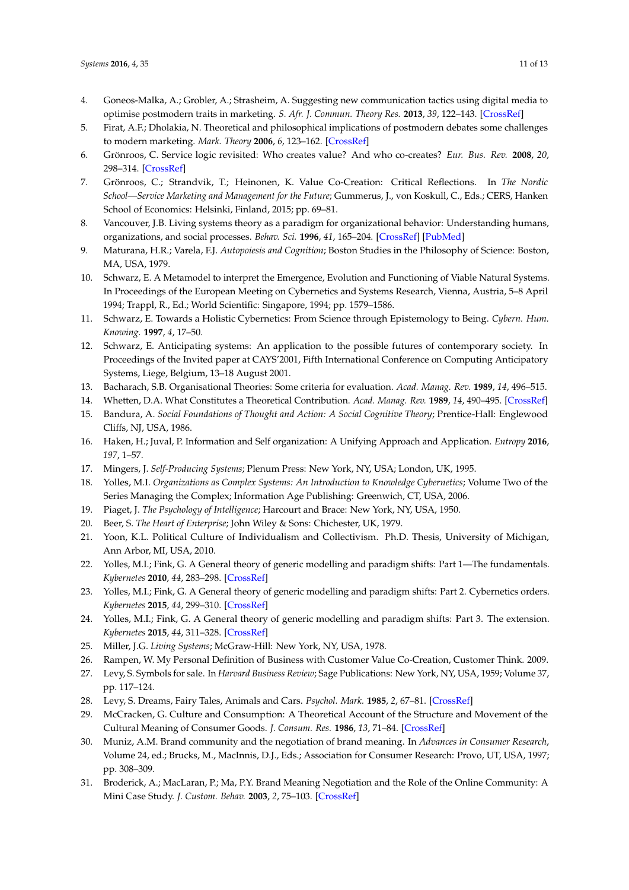- 4. Goneos-Malka, A.; Grobler, A.; Strasheim, A. Suggesting new communication tactics using digital media to optimise postmodern traits in marketing. *S. Afr. J. Commun. Theory Res.* **2013**, *39*, 122–143. [\[CrossRef\]](http://dx.doi.org/10.1080/02500167.2013.757248)
- <span id="page-10-0"></span>5. Firat, A.F.; Dholakia, N. Theoretical and philosophical implications of postmodern debates some challenges to modern marketing. *Mark. Theory* **2006**, *6*, 123–162. [\[CrossRef\]](http://dx.doi.org/10.1177/1470593106063981)
- <span id="page-10-1"></span>6. Grönroos, C. Service logic revisited: Who creates value? And who co-creates? *Eur. Bus. Rev.* **2008**, *20*, 298–314. [\[CrossRef\]](http://dx.doi.org/10.1108/09555340810886585)
- <span id="page-10-2"></span>7. Grönroos, C.; Strandvik, T.; Heinonen, K. Value Co-Creation: Critical Reflections. In *The Nordic School—Service Marketing and Management for the Future*; Gummerus, J., von Koskull, C., Eds.; CERS, Hanken School of Economics: Helsinki, Finland, 2015; pp. 69–81.
- <span id="page-10-3"></span>8. Vancouver, J.B. Living systems theory as a paradigm for organizational behavior: Understanding humans, organizations, and social processes. *Behav. Sci.* **1996**, *41*, 165–204. [\[CrossRef\]](http://dx.doi.org/10.1002/bs.3830410301) [\[PubMed\]](http://www.ncbi.nlm.nih.gov/pubmed/8856949)
- <span id="page-10-4"></span>9. Maturana, H.R.; Varela, F.J. *Autopoiesis and Cognition*; Boston Studies in the Philosophy of Science: Boston, MA, USA, 1979.
- <span id="page-10-5"></span>10. Schwarz, E. A Metamodel to interpret the Emergence, Evolution and Functioning of Viable Natural Systems. In Proceedings of the European Meeting on Cybernetics and Systems Research, Vienna, Austria, 5–8 April 1994; Trappl, R., Ed.; World Scientific: Singapore, 1994; pp. 1579–1586.
- <span id="page-10-12"></span>11. Schwarz, E. Towards a Holistic Cybernetics: From Science through Epistemology to Being. *Cybern. Hum. Knowing.* **1997**, *4*, 17–50.
- <span id="page-10-6"></span>12. Schwarz, E. Anticipating systems: An application to the possible futures of contemporary society. In Proceedings of the Invited paper at CAYS'2001, Fifth International Conference on Computing Anticipatory Systems, Liege, Belgium, 13–18 August 2001.
- <span id="page-10-7"></span>13. Bacharach, S.B. Organisational Theories: Some criteria for evaluation. *Acad. Manag. Rev.* **1989**, *14*, 496–515.
- <span id="page-10-8"></span>14. Whetten, D.A. What Constitutes a Theoretical Contribution. *Acad. Manag. Rev.* **1989**, *14*, 490–495. [\[CrossRef\]](http://dx.doi.org/10.2307/258554)
- <span id="page-10-9"></span>15. Bandura, A. *Social Foundations of Thought and Action: A Social Cognitive Theory*; Prentice-Hall: Englewood Cliffs, NJ, USA, 1986.
- <span id="page-10-10"></span>16. Haken, H.; Juval, P. Information and Self organization: A Unifying Approach and Application. *Entropy* **2016**, *197*, 1–57.
- <span id="page-10-11"></span>17. Mingers, J. *Self-Producing Systems*; Plenum Press: New York, NY, USA; London, UK, 1995.
- <span id="page-10-13"></span>18. Yolles, M.I. *Organizations as Complex Systems: An Introduction to Knowledge Cybernetics*; Volume Two of the Series Managing the Complex; Information Age Publishing: Greenwich, CT, USA, 2006.
- <span id="page-10-14"></span>19. Piaget, J. *The Psychology of Intelligence*; Harcourt and Brace: New York, NY, USA, 1950.
- <span id="page-10-15"></span>20. Beer, S. *The Heart of Enterprise*; John Wiley & Sons: Chichester, UK, 1979.
- <span id="page-10-16"></span>21. Yoon, K.L. Political Culture of Individualism and Collectivism. Ph.D. Thesis, University of Michigan, Ann Arbor, MI, USA, 2010.
- <span id="page-10-17"></span>22. Yolles, M.I.; Fink, G. A General theory of generic modelling and paradigm shifts: Part 1—The fundamentals. *Kybernetes* **2010**, *44*, 283–298. [\[CrossRef\]](http://dx.doi.org/10.1108/K-11-2014-0255)
- 23. Yolles, M.I.; Fink, G. A General theory of generic modelling and paradigm shifts: Part 2. Cybernetics orders. *Kybernetes* **2015**, *44*, 299–310. [\[CrossRef\]](http://dx.doi.org/10.1108/K-12-2014-0302)
- <span id="page-10-18"></span>24. Yolles, M.I.; Fink, G. A General theory of generic modelling and paradigm shifts: Part 3. The extension. *Kybernetes* **2015**, *44*, 311–328. [\[CrossRef\]](http://dx.doi.org/10.1108/K-12-2014-0303)
- <span id="page-10-19"></span>25. Miller, J.G. *Living Systems*; McGraw-Hill: New York, NY, USA, 1978.
- <span id="page-10-20"></span>26. Rampen, W. My Personal Definition of Business with Customer Value Co-Creation, Customer Think. 2009.
- <span id="page-10-21"></span>27. Levy, S. Symbols for sale. In *Harvard Business Review*; Sage Publications: New York, NY, USA, 1959; Volume 37, pp. 117–124.
- 28. Levy, S. Dreams, Fairy Tales, Animals and Cars. *Psychol. Mark.* **1985**, *2*, 67–81. [\[CrossRef\]](http://dx.doi.org/10.1002/mar.4220020203)
- 29. McCracken, G. Culture and Consumption: A Theoretical Account of the Structure and Movement of the Cultural Meaning of Consumer Goods. *J. Consum. Res.* **1986**, *13*, 71–84. [\[CrossRef\]](http://dx.doi.org/10.1086/209048)
- 30. Muniz, A.M. Brand community and the negotiation of brand meaning. In *Advances in Consumer Research*, Volume 24, ed.; Brucks, M., MacInnis, D.J., Eds.; Association for Consumer Research: Provo, UT, USA, 1997; pp. 308–309.
- <span id="page-10-22"></span>31. Broderick, A.; MacLaran, P.; Ma, P.Y. Brand Meaning Negotiation and the Role of the Online Community: A Mini Case Study. *J. Custom. Behav.* **2003**, *2*, 75–103. [\[CrossRef\]](http://dx.doi.org/10.1362/147539203764935390)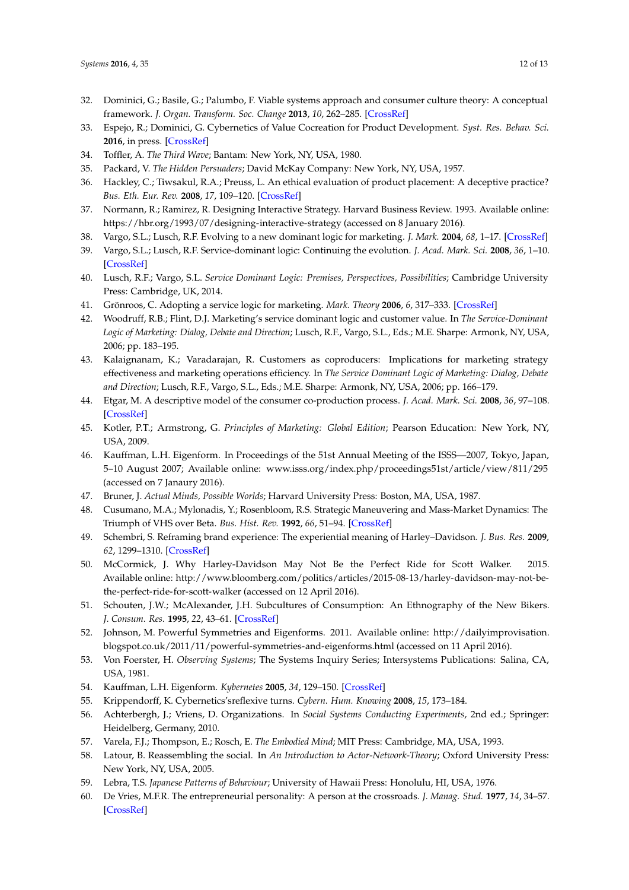- <span id="page-11-0"></span>32. Dominici, G.; Basile, G.; Palumbo, F. Viable systems approach and consumer culture theory: A conceptual framework. *J. Organ. Transform. Soc. Change* **2013**, *10*, 262–285. [\[CrossRef\]](http://dx.doi.org/10.1179/1477963313Z.00000000018)
- <span id="page-11-1"></span>33. Espejo, R.; Dominici, G. Cybernetics of Value Cocreation for Product Development. *Syst. Res. Behav. Sci.* **2016**, in press. [\[CrossRef\]](http://dx.doi.org/10.1002/sres.2392)
- <span id="page-11-2"></span>34. Toffler, A. *The Third Wave*; Bantam: New York, NY, USA, 1980.
- <span id="page-11-3"></span>35. Packard, V. *The Hidden Persuaders*; David McKay Company: New York, NY, USA, 1957.
- <span id="page-11-4"></span>36. Hackley, C.; Tiwsakul, R.A.; Preuss, L. An ethical evaluation of product placement: A deceptive practice? *Bus. Eth. Eur. Rev.* **2008**, *17*, 109–120. [\[CrossRef\]](http://dx.doi.org/10.1111/j.1467-8608.2008.00525.x)
- <span id="page-11-5"></span>37. Normann, R.; Ramirez, R. Designing Interactive Strategy. Harvard Business Review. 1993. Available online: <https://hbr.org/1993/07/designing-interactive-strategy> (accessed on 8 January 2016).
- <span id="page-11-6"></span>38. Vargo, S.L.; Lusch, R.F. Evolving to a new dominant logic for marketing. *J. Mark.* **2004**, *68*, 1–17. [\[CrossRef\]](http://dx.doi.org/10.1509/jmkg.68.1.1.24036)
- 39. Vargo, S.L.; Lusch, R.F. Service-dominant logic: Continuing the evolution. *J. Acad. Mark. Sci.* **2008**, *36*, 1–10. [\[CrossRef\]](http://dx.doi.org/10.1007/s11747-007-0069-6)
- <span id="page-11-7"></span>40. Lusch, R.F.; Vargo, S.L. *Service Dominant Logic: Premises, Perspectives, Possibilities*; Cambridge University Press: Cambridge, UK, 2014.
- <span id="page-11-8"></span>41. Grönroos, C. Adopting a service logic for marketing. *Mark. Theory* **2006**, *6*, 317–333. [\[CrossRef\]](http://dx.doi.org/10.1177/1470593106066794)
- <span id="page-11-9"></span>42. Woodruff, R.B.; Flint, D.J. Marketing's service dominant logic and customer value. In *The Service-Dominant Logic of Marketing: Dialog, Debate and Direction*; Lusch, R.F., Vargo, S.L., Eds.; M.E. Sharpe: Armonk, NY, USA, 2006; pp. 183–195.
- <span id="page-11-10"></span>43. Kalaignanam, K.; Varadarajan, R. Customers as coproducers: Implications for marketing strategy effectiveness and marketing operations efficiency. In *The Service Dominant Logic of Marketing: Dialog, Debate and Direction*; Lusch, R.F., Vargo, S.L., Eds.; M.E. Sharpe: Armonk, NY, USA, 2006; pp. 166–179.
- <span id="page-11-11"></span>44. Etgar, M. A descriptive model of the consumer co-production process. *J. Acad. Mark. Sci.* **2008**, *36*, 97–108. [\[CrossRef\]](http://dx.doi.org/10.1007/s11747-007-0061-1)
- <span id="page-11-12"></span>45. Kotler, P.T.; Armstrong, G. *Principles of Marketing: Global Edition*; Pearson Education: New York, NY, USA, 2009.
- <span id="page-11-13"></span>46. Kauffman, L.H. Eigenform. In Proceedings of the 51st Annual Meeting of the ISSS—2007, Tokyo, Japan, 5–10 August 2007; Available online: <www.isss.org/index.php/proceedings51st/article/view/811/295> (accessed on 7 Janaury 2016).
- <span id="page-11-14"></span>47. Bruner, J. *Actual Minds, Possible Worlds*; Harvard University Press: Boston, MA, USA, 1987.
- <span id="page-11-15"></span>48. Cusumano, M.A.; Mylonadis, Y.; Rosenbloom, R.S. Strategic Maneuvering and Mass-Market Dynamics: The Triumph of VHS over Beta. *Bus. Hist. Rev.* **1992**, *66*, 51–94. [\[CrossRef\]](http://dx.doi.org/10.2307/3117053)
- <span id="page-11-16"></span>49. Schembri, S. Reframing brand experience: The experiential meaning of Harley–Davidson. *J. Bus. Res.* **2009**, *62*, 1299–1310. [\[CrossRef\]](http://dx.doi.org/10.1016/j.jbusres.2008.11.004)
- <span id="page-11-17"></span>50. McCormick, J. Why Harley-Davidson May Not Be the Perfect Ride for Scott Walker. 2015. Available online: [http://www.bloomberg.com/politics/articles/2015-08-13/harley-davidson-may-not-be](http://www.bloomberg.com/politics/articles/2015-08-13/harley-davidson-may-not-be-the-perfect-ride-for-scott-walker)[the-perfect-ride-for-scott-walker](http://www.bloomberg.com/politics/articles/2015-08-13/harley-davidson-may-not-be-the-perfect-ride-for-scott-walker) (accessed on 12 April 2016).
- <span id="page-11-18"></span>51. Schouten, J.W.; McAlexander, J.H. Subcultures of Consumption: An Ethnography of the New Bikers. *J. Consum. Res.* **1995**, *22*, 43–61. [\[CrossRef\]](http://dx.doi.org/10.1086/209434)
- <span id="page-11-19"></span>52. Johnson, M. Powerful Symmetries and Eigenforms. 2011. Available online: [http://dailyimprovisation.](http://dailyimprovisation.blogspot.co.uk/2011/11/powerful-symmetries-and-eigenforms.html) [blogspot.co.uk/2011/11/powerful-symmetries-and-eigenforms.html](http://dailyimprovisation.blogspot.co.uk/2011/11/powerful-symmetries-and-eigenforms.html) (accessed on 11 April 2016).
- <span id="page-11-20"></span>53. Von Foerster, H. *Observing Systems*; The Systems Inquiry Series; Intersystems Publications: Salina, CA, USA, 1981.
- <span id="page-11-21"></span>54. Kauffman, L.H. Eigenform. *Kybernetes* **2005**, *34*, 129–150. [\[CrossRef\]](http://dx.doi.org/10.1108/03684920510575780)
- <span id="page-11-22"></span>55. Krippendorff, K. Cybernetics'sreflexive turns. *Cybern. Hum. Knowing* **2008**, *15*, 173–184.
- <span id="page-11-23"></span>56. Achterbergh, J.; Vriens, D. Organizations. In *Social Systems Conducting Experiments*, 2nd ed.; Springer: Heidelberg, Germany, 2010.
- <span id="page-11-24"></span>57. Varela, F.J.; Thompson, E.; Rosch, E. *The Embodied Mind*; MIT Press: Cambridge, MA, USA, 1993.
- <span id="page-11-25"></span>58. Latour, B. Reassembling the social. In *An Introduction to Actor-Network-Theory*; Oxford University Press: New York, NY, USA, 2005.
- <span id="page-11-26"></span>59. Lebra, T.S. *Japanese Patterns of Behaviour*; University of Hawaii Press: Honolulu, HI, USA, 1976.
- 60. De Vries, M.F.R. The entrepreneurial personality: A person at the crossroads. *J. Manag. Stud.* **1977**, *14*, 34–57. [\[CrossRef\]](http://dx.doi.org/10.1111/j.1467-6486.1977.tb00616.x)